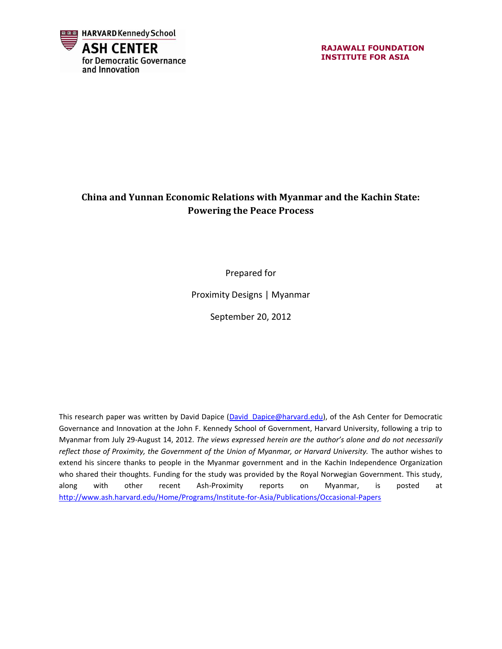

**RAJAWALI FOUNDATION INSTITUTE FOR ASIA**

#### **China and Yunnan Economic Relations with Myanmar and the Kachin State: Powering the Peace Process**

Prepared for

Proximity Designs | Myanmar

September 20, 2012

This research paper was written by David Dapice (David Dapice@harvard.edu), of the Ash Center for Democratic Governance and Innovation at the John F. Kennedy School of Government, Harvard University, following a trip to Myanmar from July 29-August 14, 2012. *The views expressed herein are the author's alone and do not necessarily reflect those of Proximity, the Government of the Union of Myanmar, or Harvard University.* The author wishes to extend his sincere thanks to people in the Myanmar government and in the Kachin Independence Organization who shared their thoughts. Funding for the study was provided by the Royal Norwegian Government. This study, along with other recent Ash-Proximity reports on Myanmar, is posted at <http://www.ash.harvard.edu/Home/Programs/Institute-for-Asia/Publications/Occasional-Papers>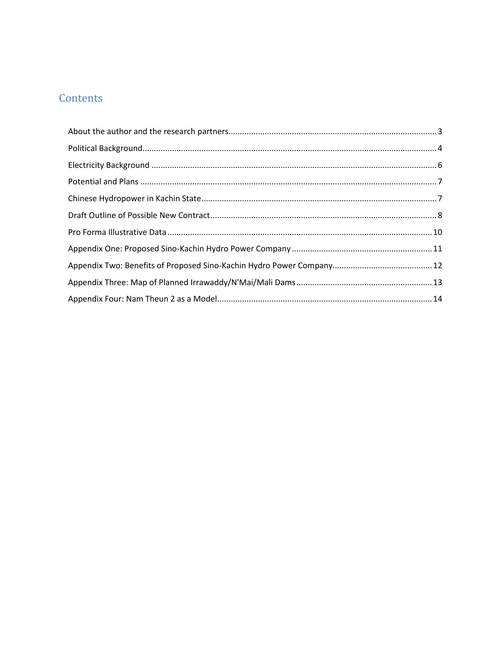## Contents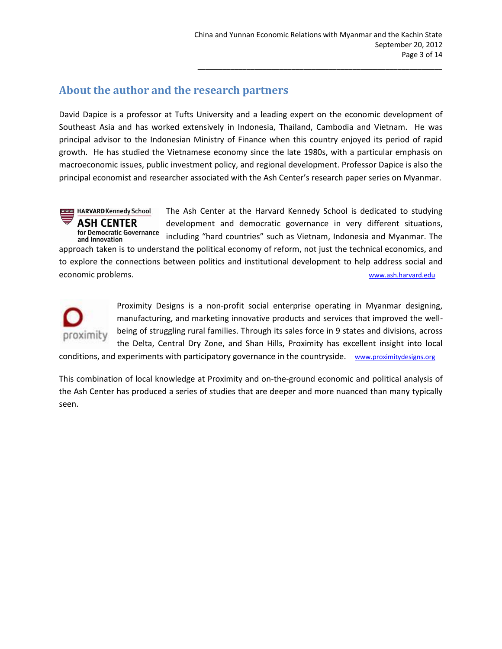#### <span id="page-2-0"></span>**About the author and the research partners**

David Dapice is a professor at Tufts University and a leading expert on the economic development of Southeast Asia and has worked extensively in Indonesia, Thailand, Cambodia and Vietnam. He was principal advisor to the Indonesian Ministry of Finance when this country enjoyed its period of rapid growth. He has studied the Vietnamese economy since the late 1980s, with a particular emphasis on macroeconomic issues, public investment policy, and regional development. Professor Dapice is also the principal economist and researcher associated with the Ash Center's research paper series on Myanmar.

**DOG** HARVARD Kennedy School The Ash Center at the Harvard Kennedy School is dedicated to studying **ASH CENTER** development and democratic governance in very different situations, for Democratic Governance including "hard countries" such as Vietnam, Indonesia and Myanmar. The and Innovation approach taken is to understand the political economy of reform, not just the technical economics, and to explore the connections between politics and institutional development to help address social and economic problems. [www.ash.harvard.edu](http://www.ash.harvard.edu/)



Proximity Designs is a non-profit social enterprise operating in Myanmar designing, manufacturing, and marketing innovative products and services that improved the wellbeing of struggling rural families. Through its sales force in 9 states and divisions, across the Delta, Central Dry Zone, and Shan Hills, Proximity has excellent insight into local

conditions, and experiments with participatory governance in the countryside. [www.proximitydesigns.org](http://www.proximitydesigns.org/)

This combination of local knowledge at Proximity and on-the-ground economic and political analysis of the Ash Center has produced a series of studies that are deeper and more nuanced than many typically seen.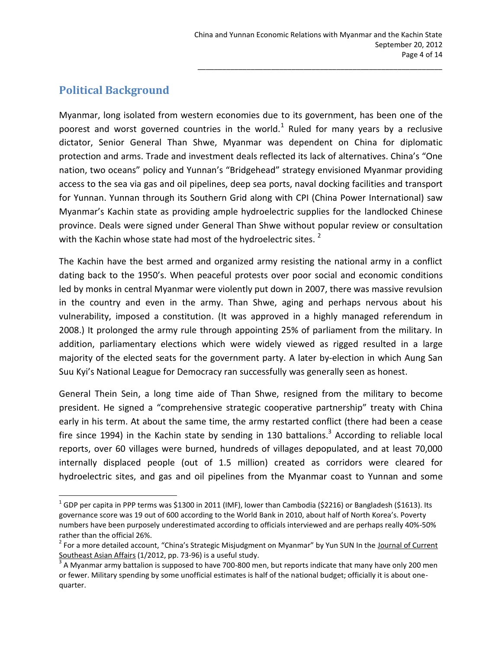### <span id="page-3-0"></span>**Political Background**

 $\overline{\phantom{a}}$ 

Myanmar, long isolated from western economies due to its government, has been one of the poorest and worst governed countries in the world.<sup>1</sup> Ruled for many years by a reclusive dictator, Senior General Than Shwe, Myanmar was dependent on China for diplomatic protection and arms. Trade and investment deals reflected its lack of alternatives. China's "One nation, two oceans" policy and Yunnan's "Bridgehead" strategy envisioned Myanmar providing access to the sea via gas and oil pipelines, deep sea ports, naval docking facilities and transport for Yunnan. Yunnan through its Southern Grid along with CPI (China Power International) saw Myanmar's Kachin state as providing ample hydroelectric supplies for the landlocked Chinese province. Deals were signed under General Than Shwe without popular review or consultation with the Kachin whose state had most of the hydroelectric sites.<sup>2</sup>

The Kachin have the best armed and organized army resisting the national army in a conflict dating back to the 1950's. When peaceful protests over poor social and economic conditions led by monks in central Myanmar were violently put down in 2007, there was massive revulsion in the country and even in the army. Than Shwe, aging and perhaps nervous about his vulnerability, imposed a constitution. (It was approved in a highly managed referendum in 2008.) It prolonged the army rule through appointing 25% of parliament from the military. In addition, parliamentary elections which were widely viewed as rigged resulted in a large majority of the elected seats for the government party. A later by-election in which Aung San Suu Kyi's National League for Democracy ran successfully was generally seen as honest.

General Thein Sein, a long time aide of Than Shwe, resigned from the military to become president. He signed a "comprehensive strategic cooperative partnership" treaty with China early in his term. At about the same time, the army restarted conflict (there had been a cease fire since 1994) in the Kachin state by sending in 130 battalions.<sup>3</sup> According to reliable local reports, over 60 villages were burned, hundreds of villages depopulated, and at least 70,000 internally displaced people (out of 1.5 million) created as corridors were cleared for hydroelectric sites, and gas and oil pipelines from the Myanmar coast to Yunnan and some

 $^1$  GDP per capita in PPP terms was \$1300 in 2011 (IMF), lower than Cambodia (\$2216) or Bangladesh (\$1613). Its governance score was 19 out of 600 according to the World Bank in 2010, about half of North Korea's. Poverty numbers have been purposely underestimated according to officials interviewed and are perhaps really 40%-50% rather than the official 26%.

<sup>&</sup>lt;sup>2</sup> For a more detailed account, "China's Strategic Misjudgment on Myanmar" by Yun SUN In the <u>Journal of Current</u> Southeast Asian Affairs (1/2012, pp. 73-96) is a useful study.

<sup>3</sup> A Myanmar army battalion is supposed to have 700-800 men, but reports indicate that many have only 200 men or fewer. Military spending by some unofficial estimates is half of the national budget; officially it is about onequarter.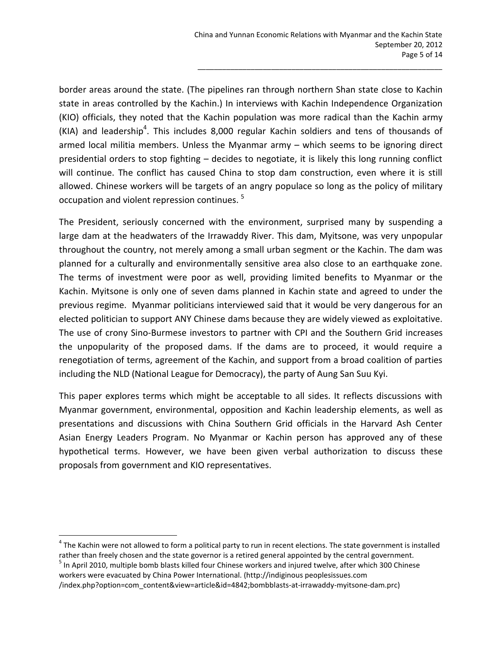border areas around the state. (The pipelines ran through northern Shan state close to Kachin state in areas controlled by the Kachin.) In interviews with Kachin Independence Organization (KIO) officials, they noted that the Kachin population was more radical than the Kachin army (KIA) and leadership<sup>4</sup>. This includes 8,000 regular Kachin soldiers and tens of thousands of armed local militia members. Unless the Myanmar army – which seems to be ignoring direct presidential orders to stop fighting – decides to negotiate, it is likely this long running conflict will continue. The conflict has caused China to stop dam construction, even where it is still allowed. Chinese workers will be targets of an angry populace so long as the policy of military occupation and violent repression continues. <sup>5</sup>

The President, seriously concerned with the environment, surprised many by suspending a large dam at the headwaters of the Irrawaddy River. This dam, Myitsone, was very unpopular throughout the country, not merely among a small urban segment or the Kachin. The dam was planned for a culturally and environmentally sensitive area also close to an earthquake zone. The terms of investment were poor as well, providing limited benefits to Myanmar or the Kachin. Myitsone is only one of seven dams planned in Kachin state and agreed to under the previous regime. Myanmar politicians interviewed said that it would be very dangerous for an elected politician to support ANY Chinese dams because they are widely viewed as exploitative. The use of crony Sino-Burmese investors to partner with CPI and the Southern Grid increases the unpopularity of the proposed dams. If the dams are to proceed, it would require a renegotiation of terms, agreement of the Kachin, and support from a broad coalition of parties including the NLD (National League for Democracy), the party of Aung San Suu Kyi.

This paper explores terms which might be acceptable to all sides. It reflects discussions with Myanmar government, environmental, opposition and Kachin leadership elements, as well as presentations and discussions with China Southern Grid officials in the Harvard Ash Center Asian Energy Leaders Program. No Myanmar or Kachin person has approved any of these hypothetical terms. However, we have been given verbal authorization to discuss these proposals from government and KIO representatives.

l

 $^4$  The Kachin were not allowed to form a political party to run in recent elections. The state government is installed rather than freely chosen and the state governor is a retired general appointed by the central government. <sup>5</sup> In April 2010, multiple bomb blasts killed four Chinese workers and injured twelve, after which 300 Chinese

workers were evacuated by China Power International. (http://indiginous peoplesissues.com /index.php?option=com\_content&view=article&id=4842;bombblasts-at-irrawaddy-myitsone-dam.prc)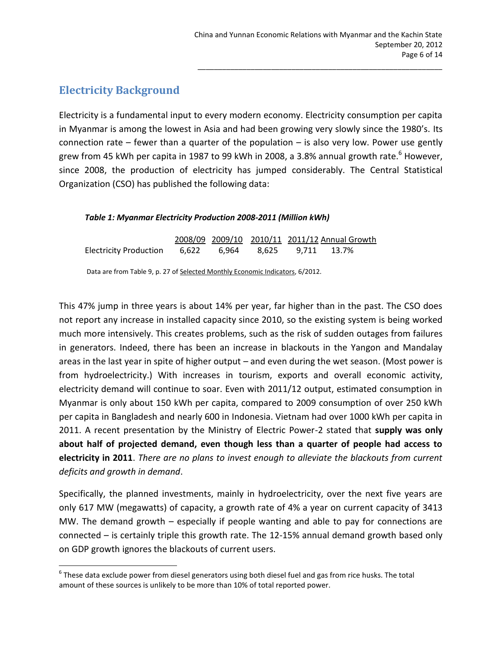### <span id="page-5-0"></span>**Electricity Background**

l

Electricity is a fundamental input to every modern economy. Electricity consumption per capita in Myanmar is among the lowest in Asia and had been growing very slowly since the 1980's. Its connection rate  $-$  fewer than a quarter of the population  $-$  is also very low. Power use gently grew from 45 kWh per capita in 1987 to 99 kWh in 2008, a 3.8% annual growth rate.<sup>6</sup> However, since 2008, the production of electricity has jumped considerably. The Central Statistical Organization (CSO) has published the following data:

#### *Table 1: Myanmar Electricity Production 2008-2011 (Million kWh)*

|                                                                               |  |  | 2008/09 2009/10 2010/11 2011/12 Annual Growth |  |
|-------------------------------------------------------------------------------|--|--|-----------------------------------------------|--|
| <b>Electricity Production</b>                                                 |  |  |                                               |  |
| Data are from Table 9, p. 27 of Selected Monthly Economic Indicators, 6/2012. |  |  |                                               |  |

This 47% jump in three years is about 14% per year, far higher than in the past. The CSO does not report any increase in installed capacity since 2010, so the existing system is being worked much more intensively. This creates problems, such as the risk of sudden outages from failures in generators. Indeed, there has been an increase in blackouts in the Yangon and Mandalay areas in the last year in spite of higher output – and even during the wet season. (Most power is from hydroelectricity.) With increases in tourism, exports and overall economic activity, electricity demand will continue to soar. Even with 2011/12 output, estimated consumption in Myanmar is only about 150 kWh per capita, compared to 2009 consumption of over 250 kWh per capita in Bangladesh and nearly 600 in Indonesia. Vietnam had over 1000 kWh per capita in 2011. A recent presentation by the Ministry of Electric Power-2 stated that **supply was only about half of projected demand, even though less than a quarter of people had access to electricity in 2011**. *There are no plans to invest enough to alleviate the blackouts from current deficits and growth in demand*.

Specifically, the planned investments, mainly in hydroelectricity, over the next five years are only 617 MW (megawatts) of capacity, a growth rate of 4% a year on current capacity of 3413 MW. The demand growth – especially if people wanting and able to pay for connections are connected – is certainly triple this growth rate. The 12-15% annual demand growth based only on GDP growth ignores the blackouts of current users.

 $^6$  These data exclude power from diesel generators using both diesel fuel and gas from rice husks. The total amount of these sources is unlikely to be more than 10% of total reported power.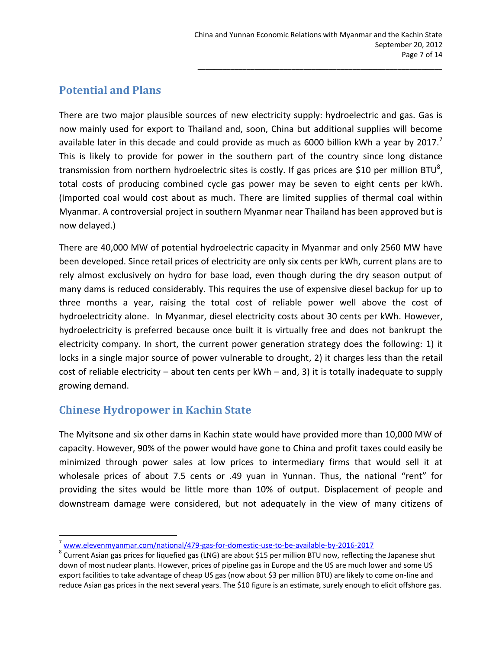#### <span id="page-6-0"></span>**Potential and Plans**

There are two major plausible sources of new electricity supply: hydroelectric and gas. Gas is now mainly used for export to Thailand and, soon, China but additional supplies will become available later in this decade and could provide as much as 6000 billion kWh a year by  $2017$ . This is likely to provide for power in the southern part of the country since long distance transmission from northern hydroelectric sites is costly. If gas prices are \$10 per million BTU<sup>8</sup>, total costs of producing combined cycle gas power may be seven to eight cents per kWh. (Imported coal would cost about as much. There are limited supplies of thermal coal within Myanmar. A controversial project in southern Myanmar near Thailand has been approved but is now delayed.)

There are 40,000 MW of potential hydroelectric capacity in Myanmar and only 2560 MW have been developed. Since retail prices of electricity are only six cents per kWh, current plans are to rely almost exclusively on hydro for base load, even though during the dry season output of many dams is reduced considerably. This requires the use of expensive diesel backup for up to three months a year, raising the total cost of reliable power well above the cost of hydroelectricity alone. In Myanmar, diesel electricity costs about 30 cents per kWh. However, hydroelectricity is preferred because once built it is virtually free and does not bankrupt the electricity company. In short, the current power generation strategy does the following: 1) it locks in a single major source of power vulnerable to drought, 2) it charges less than the retail cost of reliable electricity – about ten cents per kWh – and, 3) it is totally inadequate to supply growing demand.

#### <span id="page-6-1"></span>**Chinese Hydropower in Kachin State**

l

The Myitsone and six other dams in Kachin state would have provided more than 10,000 MW of capacity. However, 90% of the power would have gone to China and profit taxes could easily be minimized through power sales at low prices to intermediary firms that would sell it at wholesale prices of about 7.5 cents or .49 yuan in Yunnan. Thus, the national "rent" for providing the sites would be little more than 10% of output. Displacement of people and downstream damage were considered, but not adequately in the view of many citizens of

 $^7$  [www.elevenmyanmar.com/national/479-gas-for-domestic-use-to-be-available-by-2016-2017](http://www.elevenmyanmar.com/national/479-gas-for-domestic-use-to-be-available-by-2016-2017)

 $^8$  Current Asian gas prices for liquefied gas (LNG) are about \$15 per million BTU now, reflecting the Japanese shut down of most nuclear plants. However, prices of pipeline gas in Europe and the US are much lower and some US export facilities to take advantage of cheap US gas (now about \$3 per million BTU) are likely to come on-line and reduce Asian gas prices in the next several years. The \$10 figure is an estimate, surely enough to elicit offshore gas.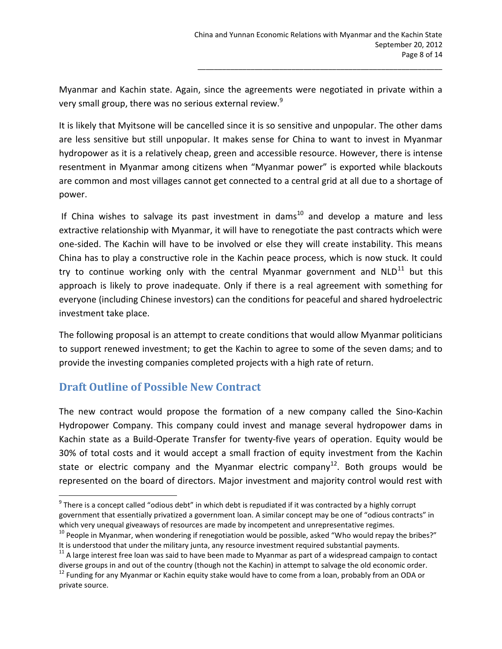Myanmar and Kachin state. Again, since the agreements were negotiated in private within a very small group, there was no serious external review.<sup>9</sup>

It is likely that Myitsone will be cancelled since it is so sensitive and unpopular. The other dams are less sensitive but still unpopular. It makes sense for China to want to invest in Myanmar hydropower as it is a relatively cheap, green and accessible resource. However, there is intense resentment in Myanmar among citizens when "Myanmar power" is exported while blackouts are common and most villages cannot get connected to a central grid at all due to a shortage of power.

If China wishes to salvage its past investment in dams<sup>10</sup> and develop a mature and less extractive relationship with Myanmar, it will have to renegotiate the past contracts which were one-sided. The Kachin will have to be involved or else they will create instability. This means China has to play a constructive role in the Kachin peace process, which is now stuck. It could try to continue working only with the central Myanmar government and  $NLD^{11}$  but this approach is likely to prove inadequate. Only if there is a real agreement with something for everyone (including Chinese investors) can the conditions for peaceful and shared hydroelectric investment take place.

The following proposal is an attempt to create conditions that would allow Myanmar politicians to support renewed investment; to get the Kachin to agree to some of the seven dams; and to provide the investing companies completed projects with a high rate of return.

#### <span id="page-7-0"></span>**Draft Outline of Possible New Contract**

 $\overline{\phantom{a}}$ 

The new contract would propose the formation of a new company called the Sino-Kachin Hydropower Company. This company could invest and manage several hydropower dams in Kachin state as a Build-Operate Transfer for twenty-five years of operation. Equity would be 30% of total costs and it would accept a small fraction of equity investment from the Kachin state or electric company and the Myanmar electric company<sup>12</sup>. Both groups would be represented on the board of directors. Major investment and majority control would rest with

 $^9$  There is a concept called "odious debt" in which debt is repudiated if it was contracted by a highly corrupt government that essentially privatized a government loan. A similar concept may be one of "odious contracts" in which very unequal giveaways of resources are made by incompetent and unrepresentative regimes.

 $10$  People in Myanmar, when wondering if renegotiation would be possible, asked "Who would repay the bribes?" It is understood that under the military junta, any resource investment required substantial payments.

 $11$  A large interest free loan was said to have been made to Myanmar as part of a widespread campaign to contact diverse groups in and out of the country (though not the Kachin) in attempt to salvage the old economic order.

<sup>&</sup>lt;sup>12</sup> Funding for any Myanmar or Kachin equity stake would have to come from a loan, probably from an ODA or private source.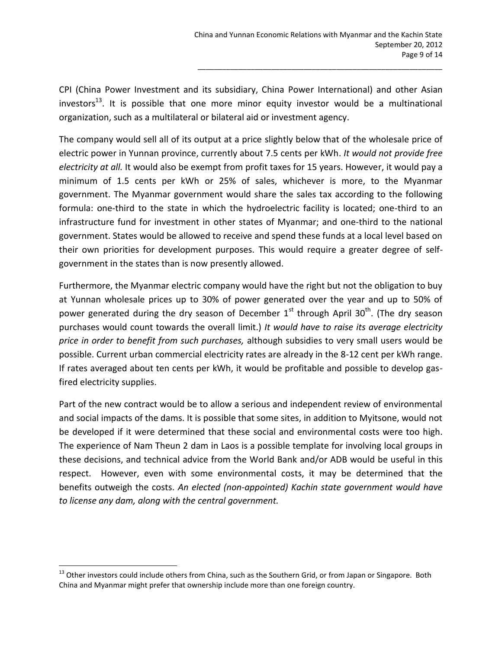CPI (China Power Investment and its subsidiary, China Power International) and other Asian investors $^{13}$ . It is possible that one more minor equity investor would be a multinational organization, such as a multilateral or bilateral aid or investment agency.

The company would sell all of its output at a price slightly below that of the wholesale price of electric power in Yunnan province, currently about 7.5 cents per kWh. *It would not provide free electricity at all.* It would also be exempt from profit taxes for 15 years. However, it would pay a minimum of 1.5 cents per kWh or 25% of sales, whichever is more, to the Myanmar government. The Myanmar government would share the sales tax according to the following formula: one-third to the state in which the hydroelectric facility is located; one-third to an infrastructure fund for investment in other states of Myanmar; and one-third to the national government. States would be allowed to receive and spend these funds at a local level based on their own priorities for development purposes. This would require a greater degree of selfgovernment in the states than is now presently allowed.

Furthermore, the Myanmar electric company would have the right but not the obligation to buy at Yunnan wholesale prices up to 30% of power generated over the year and up to 50% of power generated during the dry season of December  $1^{st}$  through April 30<sup>th</sup>. (The dry season purchases would count towards the overall limit.) *It would have to raise its average electricity price in order to benefit from such purchases,* although subsidies to very small users would be possible. Current urban commercial electricity rates are already in the 8-12 cent per kWh range. If rates averaged about ten cents per kWh, it would be profitable and possible to develop gasfired electricity supplies.

Part of the new contract would be to allow a serious and independent review of environmental and social impacts of the dams. It is possible that some sites, in addition to Myitsone, would not be developed if it were determined that these social and environmental costs were too high. The experience of Nam Theun 2 dam in Laos is a possible template for involving local groups in these decisions, and technical advice from the World Bank and/or ADB would be useful in this respect. However, even with some environmental costs, it may be determined that the benefits outweigh the costs. *An elected (non-appointed) Kachin state government would have to license any dam, along with the central government.*

l

 $13$  Other investors could include others from China, such as the Southern Grid, or from Japan or Singapore. Both China and Myanmar might prefer that ownership include more than one foreign country.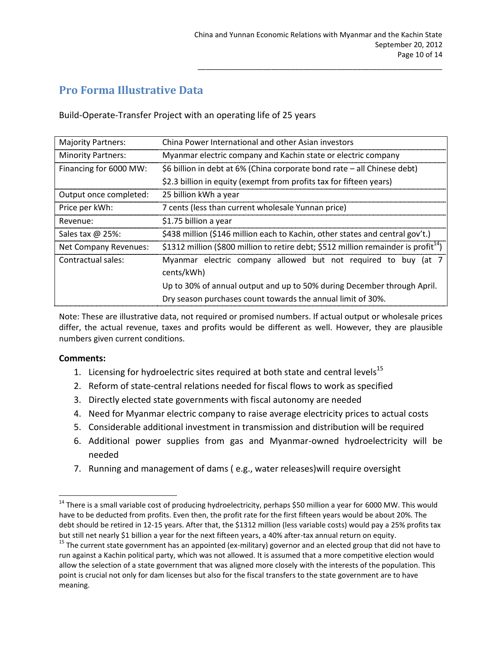### <span id="page-9-0"></span>**Pro Forma Illustrative Data**

Build-Operate-Transfer Project with an operating life of 25 years

| <b>Majority Partners:</b> | China Power International and other Asian investors                                             |
|---------------------------|-------------------------------------------------------------------------------------------------|
| <b>Minority Partners:</b> | Myanmar electric company and Kachin state or electric company                                   |
| Financing for 6000 MW:    | \$6 billion in debt at 6% (China corporate bond rate – all Chinese debt)                        |
|                           | \$2.3 billion in equity (exempt from profits tax for fifteen years)                             |
| Output once completed:    | 25 billion kWh a year                                                                           |
| Price per kWh:            | 7 cents (less than current wholesale Yunnan price)                                              |
| Revenue:                  | \$1.75 billion a year                                                                           |
| Sales tax @ 25%:          | \$438 million (\$146 million each to Kachin, other states and central gov't.)                   |
| Net Company Revenues:     | \$1312 million (\$800 million to retire debt; \$512 million remainder is profit <sup>14</sup> ) |
| Contractual sales:        | Myanmar electric company allowed but not required to buy (at 7                                  |
|                           | cents/kWh)                                                                                      |
|                           | Up to 30% of annual output and up to 50% during December through April.                         |
|                           | Dry season purchases count towards the annual limit of 30%.                                     |

Note: These are illustrative data, not required or promised numbers. If actual output or wholesale prices differ, the actual revenue, taxes and profits would be different as well. However, they are plausible numbers given current conditions.

#### **Comments:**

 $\overline{\phantom{a}}$ 

- 1. Licensing for hydroelectric sites required at both state and central levels<sup>15</sup>
- 2. Reform of state-central relations needed for fiscal flows to work as specified
- 3. Directly elected state governments with fiscal autonomy are needed
- 4. Need for Myanmar electric company to raise average electricity prices to actual costs
- 5. Considerable additional investment in transmission and distribution will be required
- 6. Additional power supplies from gas and Myanmar-owned hydroelectricity will be needed
- 7. Running and management of dams ( e.g., water releases)will require oversight

<sup>&</sup>lt;sup>14</sup> There is a small variable cost of producing hydroelectricity, perhaps \$50 million a year for 6000 MW. This would have to be deducted from profits. Even then, the profit rate for the first fifteen years would be about 20%. The debt should be retired in 12-15 years. After that, the \$1312 million (less variable costs) would pay a 25% profits tax but still net nearly \$1 billion a year for the next fifteen years, a 40% after-tax annual return on equity.

<sup>&</sup>lt;sup>15</sup> The current state government has an appointed (ex-military) governor and an elected group that did not have to run against a Kachin political party, which was not allowed. It is assumed that a more competitive election would allow the selection of a state government that was aligned more closely with the interests of the population. This point is crucial not only for dam licenses but also for the fiscal transfers to the state government are to have meaning.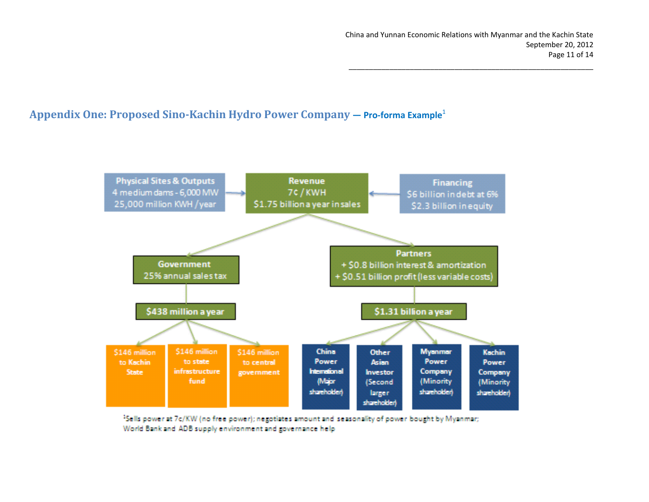#### **Appendix One: Proposed Sino-Kachin Hydro Power Company — Pro-forma Example**<sup>1</sup>

<span id="page-10-0"></span>

<sup>1</sup>Sells power at 7c/KW (no free power); negotiates amount and seasonality of power bought by Myanmar; World Bank and ADB supply environment and governance help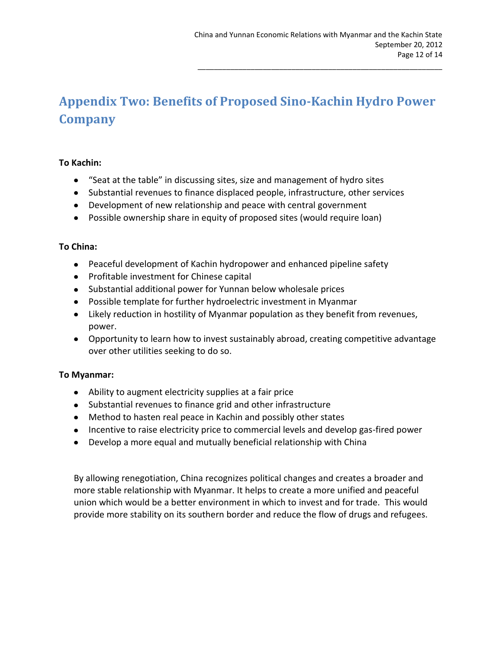# <span id="page-11-0"></span>**Appendix Two: Benefits of Proposed Sino-Kachin Hydro Power Company**

#### **To Kachin:**

- "Seat at the table" in discussing sites, size and management of hydro sites
- Substantial revenues to finance displaced people, infrastructure, other services
- Development of new relationship and peace with central government
- Possible ownership share in equity of proposed sites (would require loan)

#### **To China:**

- Peaceful development of Kachin hydropower and enhanced pipeline safety
- Profitable investment for Chinese capital
- Substantial additional power for Yunnan below wholesale prices
- Possible template for further hydroelectric investment in Myanmar
- Likely reduction in hostility of Myanmar population as they benefit from revenues, power.
- Opportunity to learn how to invest sustainably abroad, creating competitive advantage over other utilities seeking to do so.

#### **To Myanmar:**

- Ability to augment electricity supplies at a fair price
- Substantial revenues to finance grid and other infrastructure
- Method to hasten real peace in Kachin and possibly other states
- Incentive to raise electricity price to commercial levels and develop gas-fired power
- Develop a more equal and mutually beneficial relationship with China

By allowing renegotiation, China recognizes political changes and creates a broader and more stable relationship with Myanmar. It helps to create a more unified and peaceful union which would be a better environment in which to invest and for trade. This would provide more stability on its southern border and reduce the flow of drugs and refugees.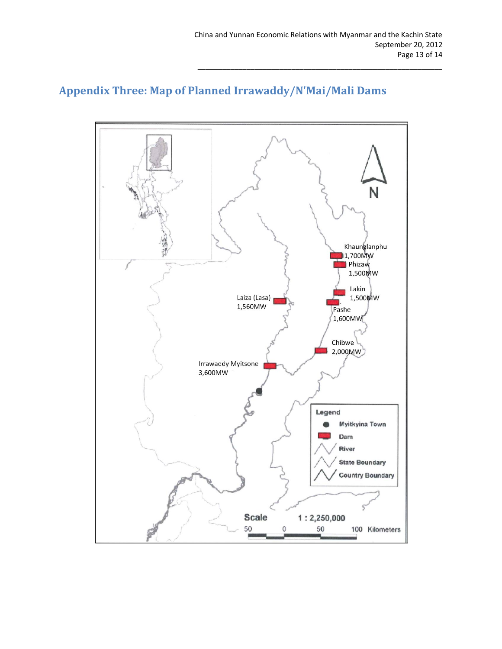

# <span id="page-12-0"></span>**Appendix Three: Map of Planned Irrawaddy/N'Mai/Mali Dams**